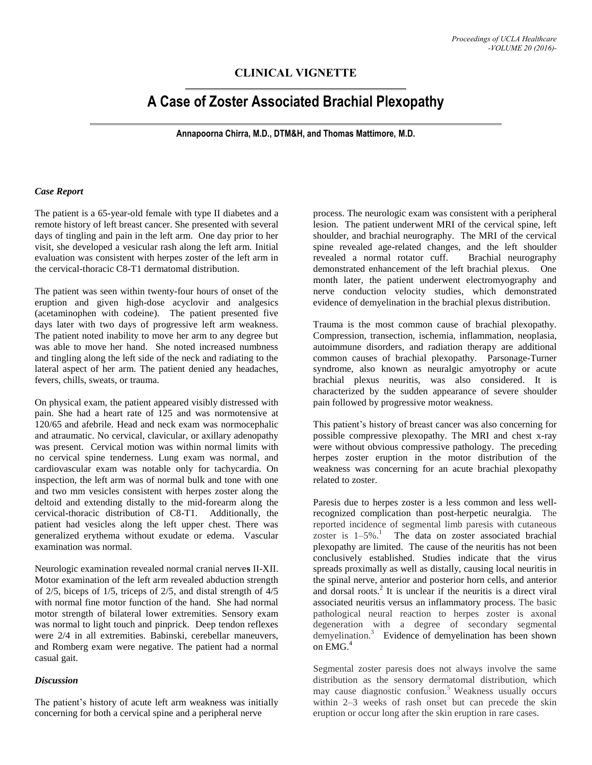## **CLINICAL VIGNETTE**

# **A Case of Zoster Associated Brachial Plexopathy**

**Annapoorna Chirra, M.D., DTM&H, and Thomas Mattimore, M.D.**

### *Case Report*

The patient is a 65-year-old female with type II diabetes and a remote history of left breast cancer. She presented with several days of tingling and pain in the left arm. One day prior to her visit, she developed a vesicular rash along the left arm. Initial evaluation was consistent with herpes zoster of the left arm in the cervical-thoracic C8-T1 dermatomal distribution.

The patient was seen within twenty-four hours of onset of the eruption and given high-dose acyclovir and analgesics (acetaminophen with codeine). The patient presented five days later with two days of progressive left arm weakness. The patient noted inability to move her arm to any degree but was able to move her hand. She noted increased numbness and tingling along the left side of the neck and radiating to the lateral aspect of her arm. The patient denied any headaches, fevers, chills, sweats, or trauma.

On physical exam, the patient appeared visibly distressed with pain. She had a heart rate of 125 and was normotensive at 120/65 and afebrile. Head and neck exam was normocephalic and atraumatic. No cervical, clavicular, or axillary adenopathy was present. Cervical motion was within normal limits with no cervical spine tenderness. Lung exam was normal, and cardiovascular exam was notable only for tachycardia. On inspection, the left arm was of normal bulk and tone with one and two mm vesicles consistent with herpes zoster along the deltoid and extending distally to the mid-forearm along the cervical-thoracic distribution of C8-T1. Additionally, the patient had vesicles along the left upper chest. There was generalized erythema without exudate or edema. Vascular examination was normal.

Neurologic examination revealed normal cranial nerve**s** II-XII. Motor examination of the left arm revealed abduction strength of 2/5, biceps of 1/5, triceps of 2/5, and distal strength of 4/5 with normal fine motor function of the hand. She had normal motor strength of bilateral lower extremities. Sensory exam was normal to light touch and pinprick. Deep tendon reflexes were 2/4 in all extremities. Babinski, cerebellar maneuvers, and Romberg exam were negative. The patient had a normal casual gait.

#### *Discussion*

The patient's history of acute left arm weakness was initially concerning for both a cervical spine and a peripheral nerve

process. The neurologic exam was consistent with a peripheral lesion. The patient underwent MRI of the cervical spine, left shoulder, and brachial neurography. The MRI of the cervical spine revealed age-related changes, and the left shoulder revealed a normal rotator cuff. Brachial neurography demonstrated enhancement of the left brachial plexus. One month later, the patient underwent electromyography and nerve conduction velocity studies, which demonstrated evidence of demyelination in the brachial plexus distribution.

Trauma is the most common cause of brachial plexopathy. Compression, transection, ischemia, inflammation, neoplasia, autoimmune disorders, and radiation therapy are additional common causes of brachial plexopathy. Parsonage-Turner syndrome, also known as neuralgic amyotrophy or acute brachial plexus neuritis, was also considered. It is characterized by the sudden appearance of severe shoulder pain followed by progressive motor weakness.

This patient's history of breast cancer was also concerning for possible compressive plexopathy. The MRI and chest x-ray were without obvious compressive pathology. The preceding herpes zoster eruption in the motor distribution of the weakness was concerning for an acute brachial plexopathy related to zoster.

Paresis due to herpes zoster is a less common and less wellrecognized complication than post-herpetic neuralgia. The reported incidence of segmental limb paresis with cutaneous zoster is  $1-5\%$ .<sup>1</sup> The data on zoster associated brachial plexopathy are limited. The cause of the neuritis has not been conclusively established. Studies indicate that the virus spreads proximally as well as distally, causing local neuritis in the spinal nerve, anterior and posterior horn cells, and anterior and dorsal roots.<sup>2</sup> It is unclear if the neuritis is a direct viral associated neuritis versus an inflammatory process. The basic pathological neural reaction to herpes zoster is axonal degeneration with a degree of secondary segmental demyelination.<sup>3</sup> Evidence of demyelination has been shown on EMG. 4

Segmental zoster paresis does not always involve the same distribution as the sensory dermatomal distribution, which may cause diagnostic confusion.<sup>5</sup> Weakness usually occurs within 2–3 weeks of rash onset but can precede the skin eruption or occur long after the skin eruption in rare cases.